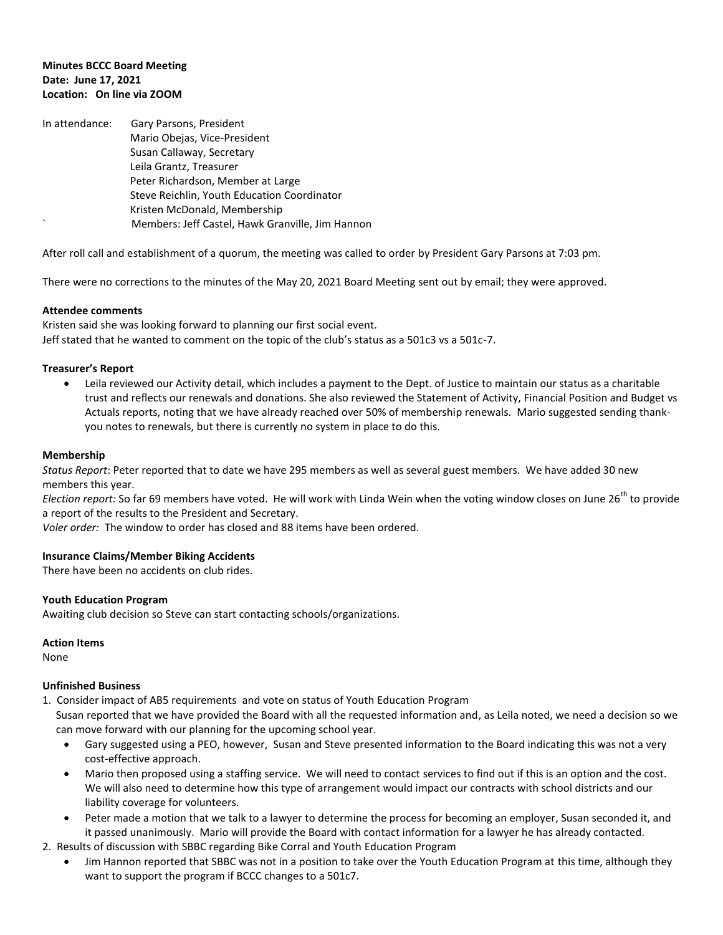## **Minutes BCCC Board Meeting Date: June 17, 2021 Location: On line via ZOOM**

| In attendance: | Gary Parsons, President                          |
|----------------|--------------------------------------------------|
|                | Mario Obejas, Vice-President                     |
|                | Susan Callaway, Secretary                        |
|                | Leila Grantz, Treasurer                          |
|                | Peter Richardson, Member at Large                |
|                | Steve Reichlin, Youth Education Coordinator      |
|                | Kristen McDonald, Membership                     |
|                | Members: Jeff Castel, Hawk Granville, Jim Hannon |

After roll call and establishment of a quorum, the meeting was called to order by President Gary Parsons at 7:03 pm.

There were no corrections to the minutes of the May 20, 2021 Board Meeting sent out by email; they were approved.

# **Attendee comments**

Kristen said she was looking forward to planning our first social event. Jeff stated that he wanted to comment on the topic of the club's status as a 501c3 vs a 501c-7.

### **Treasurer's Report**

 Leila reviewed our Activity detail, which includes a payment to the Dept. of Justice to maintain our status as a charitable trust and reflects our renewals and donations. She also reviewed the Statement of Activity, Financial Position and Budget vs Actuals reports, noting that we have already reached over 50% of membership renewals. Mario suggested sending thankyou notes to renewals, but there is currently no system in place to do this.

### **Membership**

*Status Report*: Peter reported that to date we have 295 members as well as several guest members. We have added 30 new members this year.

*Election report:* So far 69 members have voted. He will work with Linda Wein when the voting window closes on June 26<sup>th</sup> to provide a report of the results to the President and Secretary.

*Voler order:* The window to order has closed and 88 items have been ordered.

#### **Insurance Claims/Member Biking Accidents**

There have been no accidents on club rides.

#### **Youth Education Program**

Awaiting club decision so Steve can start contacting schools/organizations.

#### **Action Items**

None

### **Unfinished Business**

1. Consider impact of AB5 requirements and vote on status of Youth Education Program

 Susan reported that we have provided the Board with all the requested information and, as Leila noted, we need a decision so we can move forward with our planning for the upcoming school year.

- Gary suggested using a PEO, however, Susan and Steve presented information to the Board indicating this was not a very cost-effective approach.
- Mario then proposed using a staffing service. We will need to contact services to find out if this is an option and the cost. We will also need to determine how this type of arrangement would impact our contracts with school districts and our liability coverage for volunteers.
- Peter made a motion that we talk to a lawyer to determine the process for becoming an employer, Susan seconded it, and it passed unanimously. Mario will provide the Board with contact information for a lawyer he has already contacted.
- 2. Results of discussion with SBBC regarding Bike Corral and Youth Education Program
	- Jim Hannon reported that SBBC was not in a position to take over the Youth Education Program at this time, although they want to support the program if BCCC changes to a 501c7.